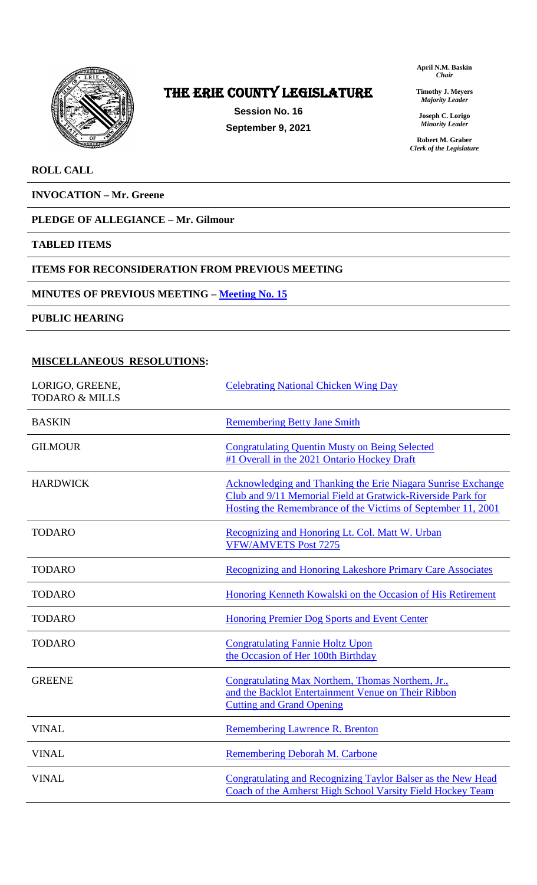

# The ERIE COUNTY LEGISLATURE

**Session No. 16 September 9, 2021** **April N.M. Baskin** *Chair*

**Timothy J. Meyers** *Majority Leader*

**Joseph C. Lorigo** *Minority Leader*

**Robert M. Graber** *Clerk of the Legislature*

### **ROLL CALL**

**INVOCATION – Mr. Greene**

## **PLEDGE OF ALLEGIANCE – Mr. Gilmour**

**TABLED ITEMS** 

#### **ITEMS FOR RECONSIDERATION FROM PREVIOUS MEETING**

#### **MINUTES OF PREVIOUS MEETING – [Meeting No. 15](https://www2.erie.gov/legislature/sites/www2.erie.gov.legislature/files/uploads/Session_Folders/2021/16/Meeting%2015%20from%202021%20minutes.pdf)**

**PUBLIC HEARING**

## **MISCELLANEOUS RESOLUTIONS:**

| LORIGO, GREENE,<br><b>TODARO &amp; MILLS</b> | <b>Celebrating National Chicken Wing Day</b>                                                                                                                                                |
|----------------------------------------------|---------------------------------------------------------------------------------------------------------------------------------------------------------------------------------------------|
| <b>BASKIN</b>                                | <b>Remembering Betty Jane Smith</b>                                                                                                                                                         |
| <b>GILMOUR</b>                               | <b>Congratulating Quentin Musty on Being Selected</b><br>#1 Overall in the 2021 Ontario Hockey Draft                                                                                        |
| <b>HARDWICK</b>                              | Acknowledging and Thanking the Erie Niagara Sunrise Exchange<br>Club and 9/11 Memorial Field at Gratwick-Riverside Park for<br>Hosting the Remembrance of the Victims of September 11, 2001 |
| <b>TODARO</b>                                | Recognizing and Honoring Lt. Col. Matt W. Urban<br><b>VFW/AMVETS Post 7275</b>                                                                                                              |
| <b>TODARO</b>                                | Recognizing and Honoring Lakeshore Primary Care Associates                                                                                                                                  |
| <b>TODARO</b>                                | Honoring Kenneth Kowalski on the Occasion of His Retirement                                                                                                                                 |
| <b>TODARO</b>                                | <b>Honoring Premier Dog Sports and Event Center</b>                                                                                                                                         |
| <b>TODARO</b>                                | <b>Congratulating Fannie Holtz Upon</b><br>the Occasion of Her 100th Birthday                                                                                                               |
| <b>GREENE</b>                                | Congratulating Max Northem, Thomas Northem, Jr.,<br>and the Backlot Entertainment Venue on Their Ribbon<br><b>Cutting and Grand Opening</b>                                                 |
| <b>VINAL</b>                                 | <b>Remembering Lawrence R. Brenton</b>                                                                                                                                                      |
| <b>VINAL</b>                                 | Remembering Deborah M. Carbone                                                                                                                                                              |
| <b>VINAL</b>                                 | Congratulating and Recognizing Taylor Balser as the New Head<br>Coach of the Amherst High School Varsity Field Hockey Team                                                                  |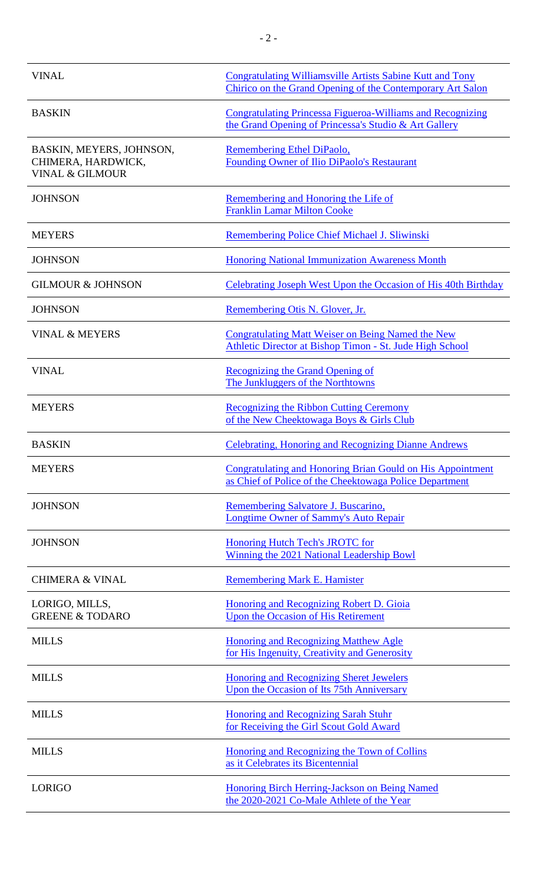| <b>VINAL</b>                                                                 | <b>Congratulating Williamsville Artists Sabine Kutt and Tony</b><br>Chirico on the Grand Opening of the Contemporary Art Salon |
|------------------------------------------------------------------------------|--------------------------------------------------------------------------------------------------------------------------------|
| <b>BASKIN</b>                                                                | <b>Congratulating Princessa Figueroa-Williams and Recognizing</b><br>the Grand Opening of Princessa's Studio & Art Gallery     |
| BASKIN, MEYERS, JOHNSON,<br>CHIMERA, HARDWICK,<br><b>VINAL &amp; GILMOUR</b> | Remembering Ethel DiPaolo,<br>Founding Owner of Ilio DiPaolo's Restaurant                                                      |
| <b>JOHNSON</b>                                                               | Remembering and Honoring the Life of<br><b>Franklin Lamar Milton Cooke</b>                                                     |
| <b>MEYERS</b>                                                                | Remembering Police Chief Michael J. Sliwinski                                                                                  |
| <b>JOHNSON</b>                                                               | <b>Honoring National Immunization Awareness Month</b>                                                                          |
| <b>GILMOUR &amp; JOHNSON</b>                                                 | Celebrating Joseph West Upon the Occasion of His 40th Birthday                                                                 |
| <b>JOHNSON</b>                                                               | Remembering Otis N. Glover, Jr.                                                                                                |
| <b>VINAL &amp; MEYERS</b>                                                    | <b>Congratulating Matt Weiser on Being Named the New</b><br>Athletic Director at Bishop Timon - St. Jude High School           |
| <b>VINAL</b>                                                                 | Recognizing the Grand Opening of<br>The Junkluggers of the Northtowns                                                          |
| <b>MEYERS</b>                                                                | <b>Recognizing the Ribbon Cutting Ceremony</b><br>of the New Cheektowaga Boys & Girls Club                                     |
| <b>BASKIN</b>                                                                | <b>Celebrating, Honoring and Recognizing Dianne Andrews</b>                                                                    |
| <b>MEYERS</b>                                                                | <b>Congratulating and Honoring Brian Gould on His Appointment</b><br>as Chief of Police of the Cheektowaga Police Department   |
| <b>JOHNSON</b>                                                               | Remembering Salvatore J. Buscarino,<br><b>Longtime Owner of Sammy's Auto Repair</b>                                            |
| <b>JOHNSON</b>                                                               | Honoring Hutch Tech's JROTC for<br>Winning the 2021 National Leadership Bowl                                                   |
| <b>CHIMERA &amp; VINAL</b>                                                   | <b>Remembering Mark E. Hamister</b>                                                                                            |
| LORIGO, MILLS,<br><b>GREENE &amp; TODARO</b>                                 | Honoring and Recognizing Robert D. Gioia<br><b>Upon the Occasion of His Retirement</b>                                         |
| <b>MILLS</b>                                                                 | <b>Honoring and Recognizing Matthew Agle</b><br>for His Ingenuity, Creativity and Generosity                                   |
| <b>MILLS</b>                                                                 | <b>Honoring and Recognizing Sheret Jewelers</b><br>Upon the Occasion of Its 75th Anniversary                                   |
| <b>MILLS</b>                                                                 | <b>Honoring and Recognizing Sarah Stuhr</b><br>for Receiving the Girl Scout Gold Award                                         |
| <b>MILLS</b>                                                                 | Honoring and Recognizing the Town of Collins<br>as it Celebrates its Bicentennial                                              |
| <b>LORIGO</b>                                                                | Honoring Birch Herring-Jackson on Being Named<br>the 2020-2021 Co-Male Athlete of the Year                                     |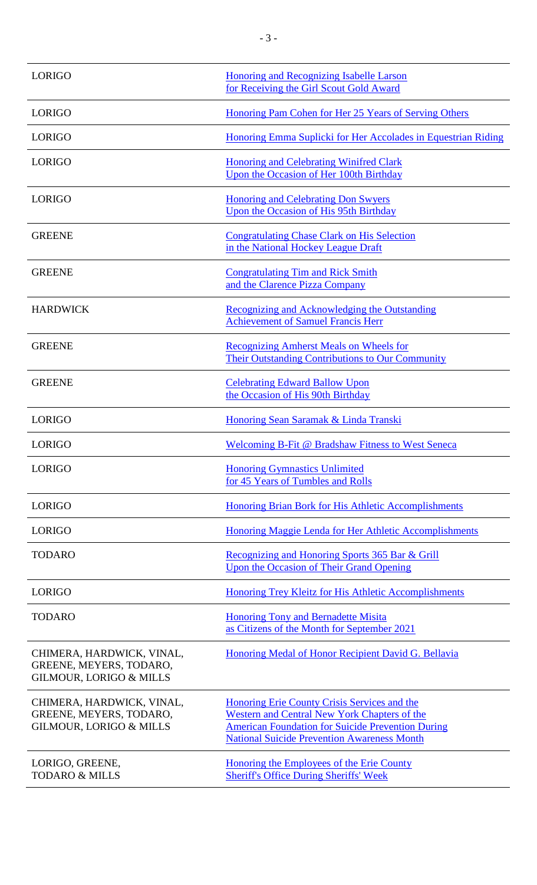| <b>LORIGO</b>                                                                              | <b>Honoring and Recognizing Isabelle Larson</b><br>for Receiving the Girl Scout Gold Award                                                                                                                     |
|--------------------------------------------------------------------------------------------|----------------------------------------------------------------------------------------------------------------------------------------------------------------------------------------------------------------|
| <b>LORIGO</b>                                                                              | Honoring Pam Cohen for Her 25 Years of Serving Others                                                                                                                                                          |
| <b>LORIGO</b>                                                                              | Honoring Emma Suplicki for Her Accolades in Equestrian Riding                                                                                                                                                  |
| <b>LORIGO</b>                                                                              | <b>Honoring and Celebrating Winifred Clark</b><br>Upon the Occasion of Her 100th Birthday                                                                                                                      |
| <b>LORIGO</b>                                                                              | <b>Honoring and Celebrating Don Swyers</b><br>Upon the Occasion of His 95th Birthday                                                                                                                           |
| <b>GREENE</b>                                                                              | <b>Congratulating Chase Clark on His Selection</b><br>in the National Hockey League Draft                                                                                                                      |
| <b>GREENE</b>                                                                              | <b>Congratulating Tim and Rick Smith</b><br>and the Clarence Pizza Company                                                                                                                                     |
| <b>HARDWICK</b>                                                                            | Recognizing and Acknowledging the Outstanding<br><b>Achievement of Samuel Francis Herr</b>                                                                                                                     |
| <b>GREENE</b>                                                                              | <b>Recognizing Amherst Meals on Wheels for</b><br><b>Their Outstanding Contributions to Our Community</b>                                                                                                      |
| <b>GREENE</b>                                                                              | <b>Celebrating Edward Ballow Upon</b><br>the Occasion of His 90th Birthday                                                                                                                                     |
| <b>LORIGO</b>                                                                              | Honoring Sean Saramak & Linda Transki                                                                                                                                                                          |
| <b>LORIGO</b>                                                                              | Welcoming B-Fit @ Bradshaw Fitness to West Seneca                                                                                                                                                              |
| <b>LORIGO</b>                                                                              | <b>Honoring Gymnastics Unlimited</b><br>for 45 Years of Tumbles and Rolls                                                                                                                                      |
| <b>LORIGO</b>                                                                              | <b>Honoring Brian Bork for His Athletic Accomplishments</b>                                                                                                                                                    |
| <b>LORIGO</b>                                                                              | Honoring Maggie Lenda for Her Athletic Accomplishments                                                                                                                                                         |
| <b>TODARO</b>                                                                              | Recognizing and Honoring Sports 365 Bar & Grill<br>Upon the Occasion of Their Grand Opening                                                                                                                    |
| <b>LORIGO</b>                                                                              | <b>Honoring Trey Kleitz for His Athletic Accomplishments</b>                                                                                                                                                   |
| <b>TODARO</b>                                                                              | <b>Honoring Tony and Bernadette Misita</b><br>as Citizens of the Month for September 2021                                                                                                                      |
| CHIMERA, HARDWICK, VINAL,<br>GREENE, MEYERS, TODARO,<br><b>GILMOUR, LORIGO &amp; MILLS</b> | Honoring Medal of Honor Recipient David G. Bellavia                                                                                                                                                            |
| CHIMERA, HARDWICK, VINAL,<br>GREENE, MEYERS, TODARO,<br><b>GILMOUR, LORIGO &amp; MILLS</b> | Honoring Erie County Crisis Services and the<br>Western and Central New York Chapters of the<br><b>American Foundation for Suicide Prevention During</b><br><b>National Suicide Prevention Awareness Month</b> |
| LORIGO, GREENE,<br><b>TODARO &amp; MILLS</b>                                               | Honoring the Employees of the Erie County<br><b>Sheriff's Office During Sheriffs' Week</b>                                                                                                                     |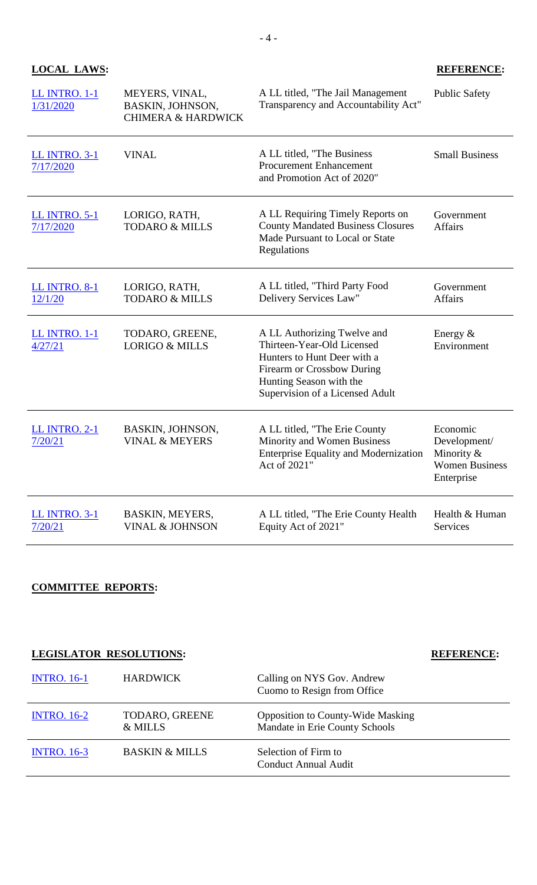## **LOCAL LAWS: REFERENCE:**

| <b>LL INTRO. 1-1</b><br>1/31/2020 | MEYERS, VINAL,<br>BASKIN, JOHNSON,<br><b>CHIMERA &amp; HARDWICK</b> | A LL titled, "The Jail Management<br>Transparency and Accountability Act"                                                                                                            | <b>Public Safety</b>                                                          |
|-----------------------------------|---------------------------------------------------------------------|--------------------------------------------------------------------------------------------------------------------------------------------------------------------------------------|-------------------------------------------------------------------------------|
| <b>LL INTRO. 3-1</b><br>7/17/2020 | <b>VINAL</b>                                                        | A LL titled, "The Business<br><b>Procurement Enhancement</b><br>and Promotion Act of 2020"                                                                                           | <b>Small Business</b>                                                         |
| <b>LL INTRO. 5-1</b><br>7/17/2020 | LORIGO, RATH,<br><b>TODARO &amp; MILLS</b>                          | A LL Requiring Timely Reports on<br><b>County Mandated Business Closures</b><br>Made Pursuant to Local or State<br>Regulations                                                       | Government<br><b>Affairs</b>                                                  |
| <b>LL INTRO. 8-1</b><br>12/1/20   | LORIGO, RATH,<br><b>TODARO &amp; MILLS</b>                          | A LL titled, "Third Party Food<br>Delivery Services Law"                                                                                                                             | Government<br><b>Affairs</b>                                                  |
| <b>LL INTRO. 1-1</b><br>4/27/21   | TODARO, GREENE,<br><b>LORIGO &amp; MILLS</b>                        | A LL Authorizing Twelve and<br>Thirteen-Year-Old Licensed<br>Hunters to Hunt Deer with a<br>Firearm or Crossbow During<br>Hunting Season with the<br>Supervision of a Licensed Adult | Energy $&$<br>Environment                                                     |
| <b>LL INTRO. 2-1</b><br>7/20/21   | BASKIN, JOHNSON,<br><b>VINAL &amp; MEYERS</b>                       | A LL titled, "The Erie County"<br>Minority and Women Business<br><b>Enterprise Equality and Modernization</b><br>Act of 2021"                                                        | Economic<br>Development/<br>Minority &<br><b>Women Business</b><br>Enterprise |
| <b>LL INTRO. 3-1</b><br>7/20/21   | BASKIN, MEYERS,<br><b>VINAL &amp; JOHNSON</b>                       | A LL titled, "The Erie County Health<br>Equity Act of 2021"                                                                                                                          | Health & Human<br><b>Services</b>                                             |

## **COMMITTEE REPORTS:**

| <b>LEGISLATOR RESOLUTIONS:</b> | <b>REFERENCE:</b>                |                                                                            |  |
|--------------------------------|----------------------------------|----------------------------------------------------------------------------|--|
| <b>INTRO.</b> 16-1             | <b>HARDWICK</b>                  | Calling on NYS Gov. Andrew<br>Cuomo to Resign from Office                  |  |
| <b>INTRO.</b> 16-2             | <b>TODARO, GREENE</b><br>& MILLS | <b>Opposition to County-Wide Masking</b><br>Mandate in Erie County Schools |  |
| <b>INTRO. 16-3</b>             | <b>BASKIN &amp; MILLS</b>        | Selection of Firm to<br><b>Conduct Annual Audit</b>                        |  |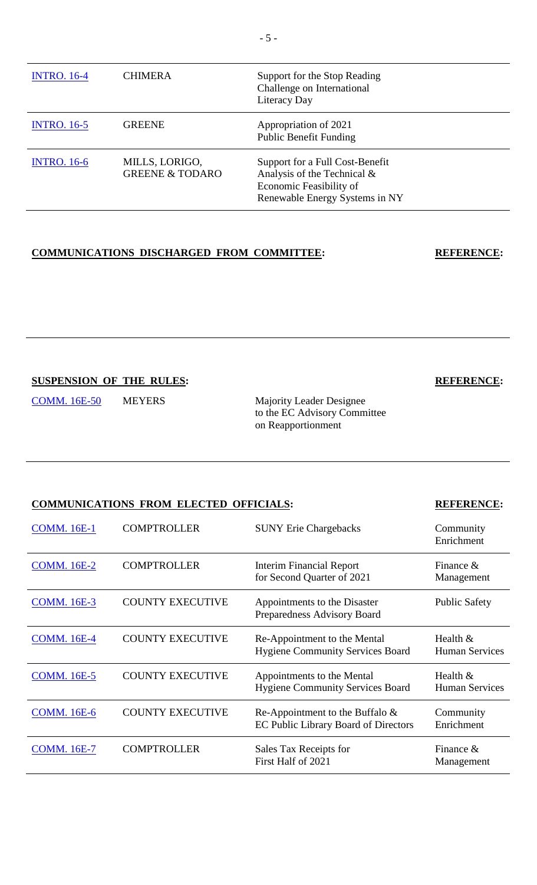| <b>INTRO.</b> 16-4 | <b>CHIMERA</b>                               | Support for the Stop Reading<br>Challenge on International<br>Literacy Day                                                     |
|--------------------|----------------------------------------------|--------------------------------------------------------------------------------------------------------------------------------|
| <b>INTRO. 16-5</b> | <b>GREENE</b>                                | Appropriation of 2021<br><b>Public Benefit Funding</b>                                                                         |
| <b>INTRO. 16-6</b> | MILLS, LORIGO,<br><b>GREENE &amp; TODARO</b> | Support for a Full Cost-Benefit<br>Analysis of the Technical $\&$<br>Economic Feasibility of<br>Renewable Energy Systems in NY |

## **COMMUNICATIONS DISCHARGED FROM COMMITTEE: REFERENCE:**

## **SUSPENSION OF THE RULES: REFERENCE:**

[COMM. 16E-50](https://www2.erie.gov/legislature/sites/www2.erie.gov.legislature/files/uploads/Session_Folders/2021/16/SUSPENSION_21COMM.%2016E-50.pdf) MEYERS Majority Leader Designee

to the EC Advisory Committee on Reapportionment

## **COMMUNICATIONS FROM ELECTED OFFICIALS: REFERENCE:**

| <b>COMM.</b> 16E-1 | <b>COMPTROLLER</b>      | <b>SUNY Erie Chargebacks</b>                                               | Community<br>Enrichment             |
|--------------------|-------------------------|----------------------------------------------------------------------------|-------------------------------------|
| <b>COMM. 16E-2</b> | <b>COMPTROLLER</b>      | <b>Interim Financial Report</b><br>for Second Quarter of 2021              | Finance $\&$<br>Management          |
| <b>COMM.</b> 16E-3 | <b>COUNTY EXECUTIVE</b> | Appointments to the Disaster<br>Preparedness Advisory Board                | <b>Public Safety</b>                |
| <b>COMM.</b> 16E-4 | <b>COUNTY EXECUTIVE</b> | Re-Appointment to the Mental<br><b>Hygiene Community Services Board</b>    | Health $&$<br><b>Human Services</b> |
| <b>COMM. 16E-5</b> | <b>COUNTY EXECUTIVE</b> | Appointments to the Mental<br><b>Hygiene Community Services Board</b>      | Health $&$<br><b>Human Services</b> |
| <b>COMM. 16E-6</b> | <b>COUNTY EXECUTIVE</b> | Re-Appointment to the Buffalo $\&$<br>EC Public Library Board of Directors | Community<br>Enrichment             |
| <b>COMM. 16E-7</b> | <b>COMPTROLLER</b>      | Sales Tax Receipts for<br>First Half of 2021                               | Finance $\&$<br>Management          |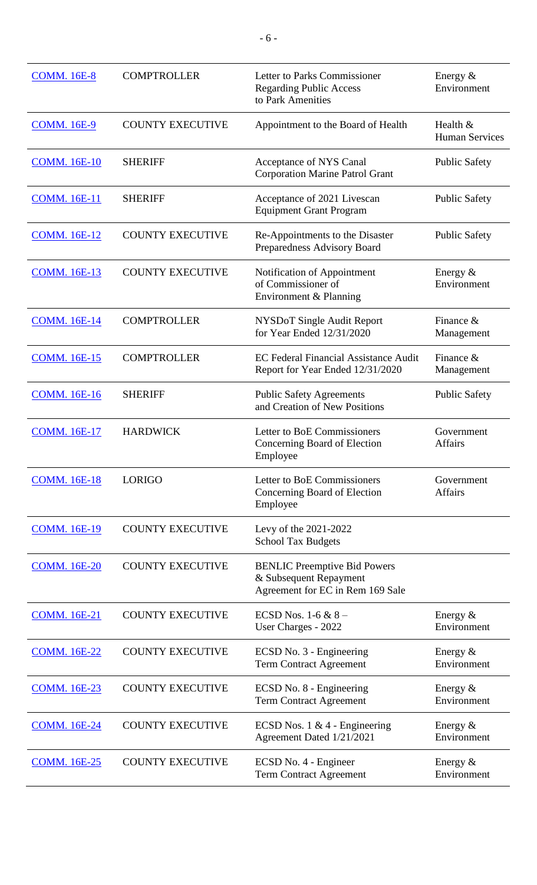| <b>COMM. 16E-8</b>  | <b>COMPTROLLER</b>      | Letter to Parks Commissioner<br><b>Regarding Public Access</b><br>to Park Amenities               | Energy $&$<br>Environment         |
|---------------------|-------------------------|---------------------------------------------------------------------------------------------------|-----------------------------------|
| <b>COMM. 16E-9</b>  | <b>COUNTY EXECUTIVE</b> | Appointment to the Board of Health                                                                | Health &<br><b>Human Services</b> |
| <b>COMM.</b> 16E-10 | <b>SHERIFF</b>          | Acceptance of NYS Canal<br><b>Corporation Marine Patrol Grant</b>                                 | <b>Public Safety</b>              |
| <b>COMM.</b> 16E-11 | <b>SHERIFF</b>          | Acceptance of 2021 Livescan<br><b>Equipment Grant Program</b>                                     | <b>Public Safety</b>              |
| <b>COMM.</b> 16E-12 | <b>COUNTY EXECUTIVE</b> | Re-Appointments to the Disaster<br>Preparedness Advisory Board                                    | <b>Public Safety</b>              |
| <b>COMM. 16E-13</b> | <b>COUNTY EXECUTIVE</b> | Notification of Appointment<br>of Commissioner of<br>Environment & Planning                       | Energy $&$<br>Environment         |
| <b>COMM. 16E-14</b> | <b>COMPTROLLER</b>      | NYSDoT Single Audit Report<br>for Year Ended 12/31/2020                                           | Finance $\&$<br>Management        |
| <b>COMM. 16E-15</b> | <b>COMPTROLLER</b>      | <b>EC Federal Financial Assistance Audit</b><br>Report for Year Ended 12/31/2020                  | Finance &<br>Management           |
| <b>COMM. 16E-16</b> | <b>SHERIFF</b>          | <b>Public Safety Agreements</b><br>and Creation of New Positions                                  | <b>Public Safety</b>              |
| <b>COMM. 16E-17</b> | <b>HARDWICK</b>         | Letter to BoE Commissioners<br>Concerning Board of Election<br>Employee                           | Government<br><b>Affairs</b>      |
| <b>COMM. 16E-18</b> | <b>LORIGO</b>           | Letter to BoE Commissioners<br>Concerning Board of Election<br>Employee                           | Government<br><b>Affairs</b>      |
| <b>COMM. 16E-19</b> | <b>COUNTY EXECUTIVE</b> | Levy of the 2021-2022<br><b>School Tax Budgets</b>                                                |                                   |
| <b>COMM. 16E-20</b> | <b>COUNTY EXECUTIVE</b> | <b>BENLIC Preemptive Bid Powers</b><br>& Subsequent Repayment<br>Agreement for EC in Rem 169 Sale |                                   |
| <b>COMM. 16E-21</b> | <b>COUNTY EXECUTIVE</b> | ECSD Nos. $1-6 & 8 -$<br>User Charges - 2022                                                      | Energy $&$<br>Environment         |
| <b>COMM.</b> 16E-22 | <b>COUNTY EXECUTIVE</b> | ECSD No. 3 - Engineering<br><b>Term Contract Agreement</b>                                        | Energy $&$<br>Environment         |
| <b>COMM. 16E-23</b> | <b>COUNTY EXECUTIVE</b> | ECSD No. 8 - Engineering<br><b>Term Contract Agreement</b>                                        | Energy $&$<br>Environment         |
| <b>COMM. 16E-24</b> | <b>COUNTY EXECUTIVE</b> | ECSD Nos. $1 \& 4$ - Engineering<br>Agreement Dated 1/21/2021                                     | Energy $&$<br>Environment         |
| <b>COMM. 16E-25</b> | <b>COUNTY EXECUTIVE</b> | ECSD No. 4 - Engineer<br><b>Term Contract Agreement</b>                                           | Energy $&$<br>Environment         |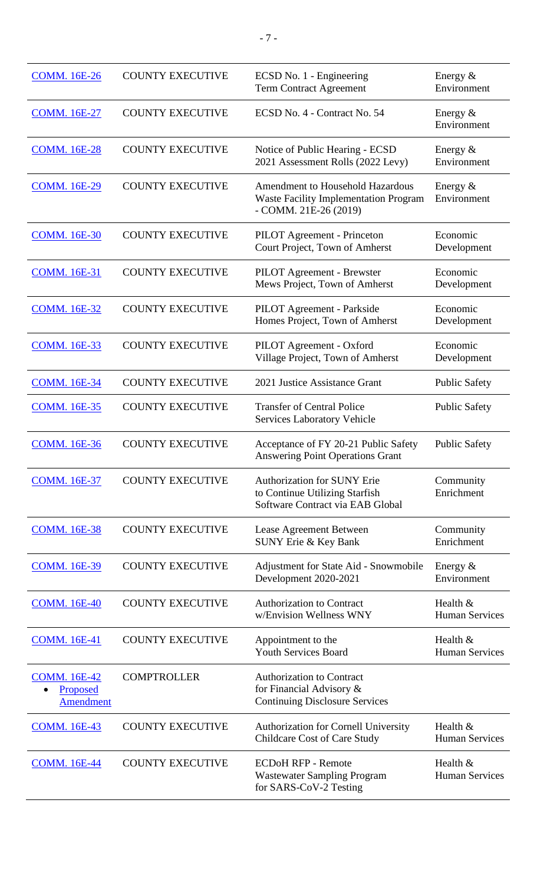| <b>COMM. 16E-26</b>                                 | <b>COUNTY EXECUTIVE</b> | ECSD No. 1 - Engineering<br><b>Term Contract Agreement</b>                                                        | Energy $\&$<br>Environment        |
|-----------------------------------------------------|-------------------------|-------------------------------------------------------------------------------------------------------------------|-----------------------------------|
| <b>COMM. 16E-27</b>                                 | <b>COUNTY EXECUTIVE</b> | ECSD No. 4 - Contract No. 54                                                                                      | Energy $&$<br>Environment         |
| <b>COMM. 16E-28</b>                                 | <b>COUNTY EXECUTIVE</b> | Notice of Public Hearing - ECSD<br>2021 Assessment Rolls (2022 Levy)                                              | Energy $&$<br>Environment         |
| <b>COMM. 16E-29</b>                                 | <b>COUNTY EXECUTIVE</b> | <b>Amendment to Household Hazardous</b><br><b>Waste Facility Implementation Program</b><br>$-COMM. 21E-26 (2019)$ | Energy $&$<br>Environment         |
| <b>COMM.</b> 16E-30                                 | <b>COUNTY EXECUTIVE</b> | <b>PILOT</b> Agreement - Princeton<br>Court Project, Town of Amherst                                              | Economic<br>Development           |
| <b>COMM. 16E-31</b>                                 | <b>COUNTY EXECUTIVE</b> | <b>PILOT</b> Agreement - Brewster<br>Mews Project, Town of Amherst                                                | Economic<br>Development           |
| <b>COMM. 16E-32</b>                                 | <b>COUNTY EXECUTIVE</b> | PILOT Agreement - Parkside<br>Homes Project, Town of Amherst                                                      | Economic<br>Development           |
| <b>COMM. 16E-33</b>                                 | <b>COUNTY EXECUTIVE</b> | PILOT Agreement - Oxford<br>Village Project, Town of Amherst                                                      | Economic<br>Development           |
| <b>COMM. 16E-34</b>                                 | <b>COUNTY EXECUTIVE</b> | 2021 Justice Assistance Grant                                                                                     | <b>Public Safety</b>              |
| <b>COMM. 16E-35</b>                                 | <b>COUNTY EXECUTIVE</b> | <b>Transfer of Central Police</b><br><b>Services Laboratory Vehicle</b>                                           | <b>Public Safety</b>              |
| <b>COMM. 16E-36</b>                                 | <b>COUNTY EXECUTIVE</b> | Acceptance of FY 20-21 Public Safety<br><b>Answering Point Operations Grant</b>                                   | <b>Public Safety</b>              |
| <b>COMM. 16E-37</b>                                 | <b>COUNTY EXECUTIVE</b> | <b>Authorization for SUNY Erie</b><br>to Continue Utilizing Starfish<br>Software Contract via EAB Global          | Community<br>Enrichment           |
| <b>COMM. 16E-38</b>                                 | <b>COUNTY EXECUTIVE</b> | Lease Agreement Between<br><b>SUNY Erie &amp; Key Bank</b>                                                        | Community<br>Enrichment           |
| <b>COMM. 16E-39</b>                                 | <b>COUNTY EXECUTIVE</b> | Adjustment for State Aid - Snowmobile<br>Development 2020-2021                                                    | Energy $&$<br>Environment         |
| <b>COMM. 16E-40</b>                                 | <b>COUNTY EXECUTIVE</b> | <b>Authorization to Contract</b><br>w/Envision Wellness WNY                                                       | Health &<br><b>Human Services</b> |
| <b>COMM.</b> 16E-41                                 | <b>COUNTY EXECUTIVE</b> | Appointment to the<br><b>Youth Services Board</b>                                                                 | Health &<br><b>Human Services</b> |
| <b>COMM. 16E-42</b><br>Proposed<br><b>Amendment</b> | <b>COMPTROLLER</b>      | <b>Authorization to Contract</b><br>for Financial Advisory &<br><b>Continuing Disclosure Services</b>             |                                   |
| <b>COMM. 16E-43</b>                                 | <b>COUNTY EXECUTIVE</b> | Authorization for Cornell University<br>Childcare Cost of Care Study                                              | Health &<br><b>Human Services</b> |
| <b>COMM. 16E-44</b>                                 | <b>COUNTY EXECUTIVE</b> | <b>ECDoH RFP - Remote</b><br><b>Wastewater Sampling Program</b><br>for SARS-CoV-2 Testing                         | Health &<br><b>Human Services</b> |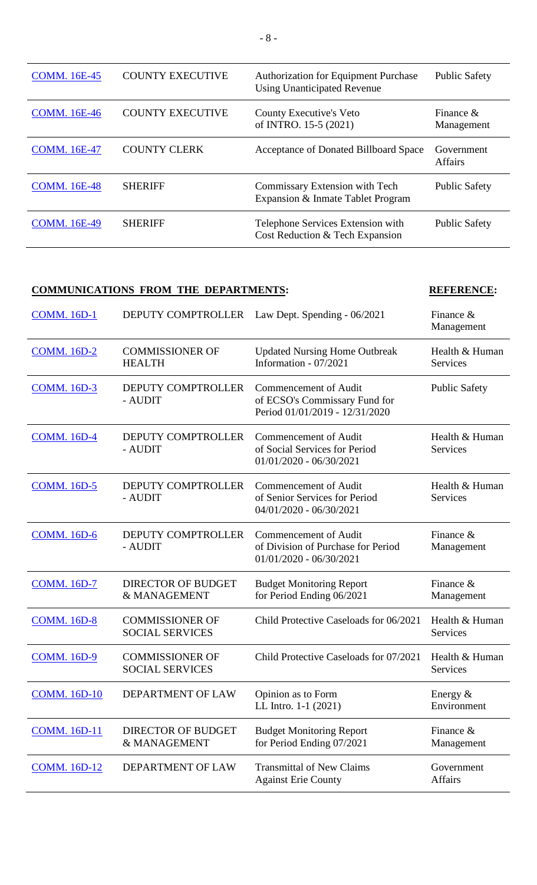| <b>COMM.</b> 16E-45 | <b>COUNTY EXECUTIVE</b> | <b>Authorization for Equipment Purchase</b><br><b>Using Unanticipated Revenue</b> | <b>Public Safety</b>         |
|---------------------|-------------------------|-----------------------------------------------------------------------------------|------------------------------|
| <b>COMM.</b> 16E-46 | <b>COUNTY EXECUTIVE</b> | County Executive's Veto<br>of INTRO. 15-5 (2021)                                  | Finance $\&$<br>Management   |
| <b>COMM.</b> 16E-47 | <b>COUNTY CLERK</b>     | Acceptance of Donated Billboard Space                                             | Government<br><b>Affairs</b> |
| <b>COMM.</b> 16E-48 | <b>SHERIFF</b>          | Commissary Extension with Tech<br>Expansion & Inmate Tablet Program               | <b>Public Safety</b>         |
| <b>COMM.</b> 16E-49 | <b>SHERIFF</b>          | Telephone Services Extension with<br>Cost Reduction & Tech Expansion              | <b>Public Safety</b>         |

#### **COMMUNICATIONS FROM THE DEPARTMENTS: REFERENCE:**

[COMM. 16D-1](https://www2.erie.gov/legislature/sites/www2.erie.gov.legislature/files/uploads/Session_Folders/2021/16/21COMM.%2016D-1.pdf) DEPUTY COMPTROLLER Law Dept. Spending - 06/2021 Finance & Management [COMM. 16D-2](https://www2.erie.gov/legislature/sites/www2.erie.gov.legislature/files/uploads/Session_Folders/2021/16/21COMM.%2016D-2.pdf) COMMISSIONER OF HEALTH Updated Nursing Home Outbreak Information - 07/2021 Health & Human Services [COMM. 16D-3](https://www2.erie.gov/legislature/sites/www2.erie.gov.legislature/files/uploads/Session_Folders/2021/16/21COMM.%2016D-3.pdf) DEPUTY COMPTROLLER - AUDIT Commencement of Audit of ECSO's Commissary Fund for Period 01/01/2019 - 12/31/2020 Public Safety [COMM. 16D-4](https://www2.erie.gov/legislature/sites/www2.erie.gov.legislature/files/uploads/Session_Folders/2021/16/21COMM.%2016D-4.pdf) DEPUTY COMPTROLLER - AUDIT Commencement of Audit of Social Services for Period 01/01/2020 - 06/30/2021 Health & Human **Services** [COMM. 16D-5](https://www2.erie.gov/legislature/sites/www2.erie.gov.legislature/files/uploads/Session_Folders/2021/16/21COMM.%2016D-5.pdf) DEPUTY COMPTROLLER - AUDIT Commencement of Audit of Senior Services for Period 04/01/2020 - 06/30/2021 Health & Human Services [COMM. 16D-6](https://www2.erie.gov/legislature/sites/www2.erie.gov.legislature/files/uploads/Session_Folders/2021/16/21COMM.%2016D-6.pdf) DEPUTY COMPTROLLER - AUDIT Commencement of Audit of Division of Purchase for Period 01/01/2020 - 06/30/2021 Finance & Management [COMM. 16D-7](https://www2.erie.gov/legislature/sites/www2.erie.gov.legislature/files/uploads/Session_Folders/2021/16/21COMM.%2016D-7.pdf) DIRECTOR OF BUDGET & MANAGEMENT Budget Monitoring Report for Period Ending 06/2021 Finance & Management [COMM. 16D-8](https://www2.erie.gov/legislature/sites/www2.erie.gov.legislature/files/uploads/Session_Folders/2021/16/21COMM.%2016D-8.pdf) COMMISSIONER OF SOCIAL SERVICES Child Protective Caseloads for 06/2021 Health & Human Services [COMM. 16D-9](https://www2.erie.gov/legislature/sites/www2.erie.gov.legislature/files/uploads/Session_Folders/2021/16/21COMM.%2016D-9.pdf) COMMISSIONER OF SOCIAL SERVICES Child Protective Caseloads for 07/2021 Health & Human Services [COMM. 16D-10](https://www2.erie.gov/legislature/sites/www2.erie.gov.legislature/files/uploads/Session_Folders/2021/16/21COMM.%2016D-10.pdf) DEPARTMENT OF LAW Opinion as to Form LL Intro. 1-1 (2021) Energy & Environment [COMM. 16D-11](https://www2.erie.gov/legislature/sites/www2.erie.gov.legislature/files/uploads/Session_Folders/2021/16/21COMM.%2016D-11.pdf) DIRECTOR OF BUDGET & MANAGEMENT Budget Monitoring Report for Period Ending 07/2021 Finance & Management [COMM. 16D-12](https://www2.erie.gov/legislature/sites/www2.erie.gov.legislature/files/uploads/Session_Folders/2021/16/21COMM.%2016D-12.pdf) DEPARTMENT OF LAW Transmittal of New Claims Against Erie County Government Affairs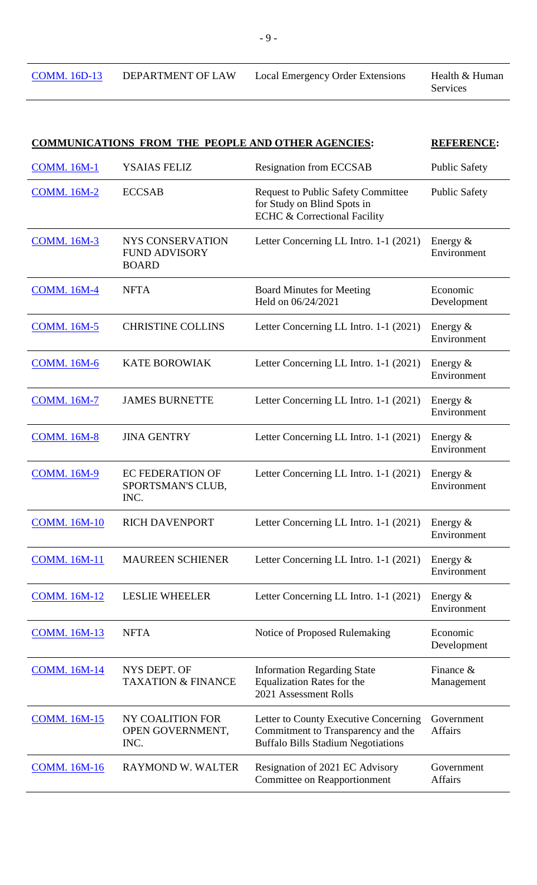| <b>COMM.</b> 16D-13 | DEPARTMENT OF LAW | <b>Local Emergency Order Extensions</b> | Health & Human |
|---------------------|-------------------|-----------------------------------------|----------------|
|                     |                   |                                         | Services       |

| <b>COMMUNICATIONS FROM THE PEOPLE AND OTHER AGENCIES:</b> |                                                                 |                                                                                                                          | <b>REFERENCE:</b>            |
|-----------------------------------------------------------|-----------------------------------------------------------------|--------------------------------------------------------------------------------------------------------------------------|------------------------------|
| <b>COMM. 16M-1</b>                                        | <b>YSAIAS FELIZ</b>                                             | <b>Resignation from ECCSAB</b>                                                                                           | <b>Public Safety</b>         |
| <b>COMM. 16M-2</b>                                        | <b>ECCSAB</b>                                                   | <b>Request to Public Safety Committee</b><br>for Study on Blind Spots in<br><b>ECHC &amp; Correctional Facility</b>      | <b>Public Safety</b>         |
| <b>COMM. 16M-3</b>                                        | <b>NYS CONSERVATION</b><br><b>FUND ADVISORY</b><br><b>BOARD</b> | Letter Concerning LL Intro. 1-1 (2021)                                                                                   | Energy $&$<br>Environment    |
| <b>COMM. 16M-4</b>                                        | <b>NFTA</b>                                                     | <b>Board Minutes for Meeting</b><br>Held on 06/24/2021                                                                   | Economic<br>Development      |
| <b>COMM. 16M-5</b>                                        | <b>CHRISTINE COLLINS</b>                                        | Letter Concerning LL Intro. 1-1 (2021)                                                                                   | Energy $&$<br>Environment    |
| <b>COMM. 16M-6</b>                                        | <b>KATE BOROWIAK</b>                                            | Letter Concerning LL Intro. 1-1 (2021)                                                                                   | Energy $&$<br>Environment    |
| <b>COMM. 16M-7</b>                                        | <b>JAMES BURNETTE</b>                                           | Letter Concerning LL Intro. 1-1 (2021)                                                                                   | Energy $&$<br>Environment    |
| <b>COMM. 16M-8</b>                                        | <b>JINA GENTRY</b>                                              | Letter Concerning LL Intro. 1-1 (2021)                                                                                   | Energy $&$<br>Environment    |
| <b>COMM. 16M-9</b>                                        | <b>EC FEDERATION OF</b><br>SPORTSMAN'S CLUB,<br>INC.            | Letter Concerning LL Intro. 1-1 (2021)                                                                                   | Energy $&$<br>Environment    |
| <b>COMM. 16M-10</b>                                       | <b>RICH DAVENPORT</b>                                           | Letter Concerning LL Intro. 1-1 (2021)                                                                                   | Energy $&$<br>Environment    |
| <b>COMM. 16M-11</b>                                       | <b>MAUREEN SCHIENER</b>                                         | Letter Concerning LL Intro. 1-1 (2021)                                                                                   | Energy $&$<br>Environment    |
| <b>COMM. 16M-12</b>                                       | <b>LESLIE WHEELER</b>                                           | Letter Concerning LL Intro. 1-1 (2021)                                                                                   | Energy $&$<br>Environment    |
| <b>COMM. 16M-13</b>                                       | <b>NFTA</b>                                                     | Notice of Proposed Rulemaking                                                                                            | Economic<br>Development      |
| <b>COMM. 16M-14</b>                                       | NYS DEPT. OF<br><b>TAXATION &amp; FINANCE</b>                   | <b>Information Regarding State</b><br><b>Equalization Rates for the</b><br>2021 Assessment Rolls                         | Finance $&$<br>Management    |
| <b>COMM. 16M-15</b>                                       | NY COALITION FOR<br>OPEN GOVERNMENT,<br>INC.                    | Letter to County Executive Concerning<br>Commitment to Transparency and the<br><b>Buffalo Bills Stadium Negotiations</b> | Government<br><b>Affairs</b> |
| <b>COMM.</b> 16M-16                                       | <b>RAYMOND W. WALTER</b>                                        | Resignation of 2021 EC Advisory<br>Committee on Reapportionment                                                          | Government<br><b>Affairs</b> |